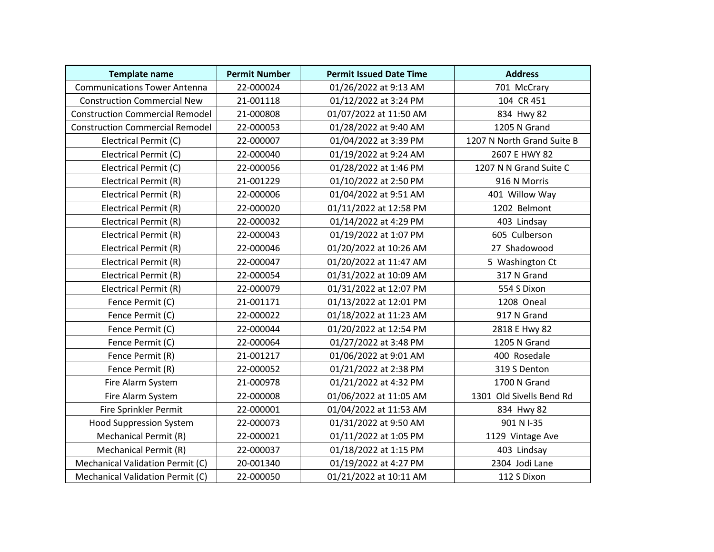| <b>Template name</b>                   | <b>Permit Number</b> | <b>Permit Issued Date Time</b> | <b>Address</b>             |
|----------------------------------------|----------------------|--------------------------------|----------------------------|
| <b>Communications Tower Antenna</b>    | 22-000024            | 01/26/2022 at 9:13 AM          | 701 McCrary                |
| <b>Construction Commercial New</b>     | 21-001118            | 01/12/2022 at 3:24 PM          | 104 CR 451                 |
| <b>Construction Commercial Remodel</b> | 21-000808            | 01/07/2022 at 11:50 AM         | 834 Hwy 82                 |
| <b>Construction Commercial Remodel</b> | 22-000053            | 01/28/2022 at 9:40 AM          | 1205 N Grand               |
| Electrical Permit (C)                  | 22-000007            | 01/04/2022 at 3:39 PM          | 1207 N North Grand Suite B |
| Electrical Permit (C)                  | 22-000040            | 01/19/2022 at 9:24 AM          | 2607 E HWY 82              |
| Electrical Permit (C)                  | 22-000056            | 01/28/2022 at 1:46 PM          | 1207 N N Grand Suite C     |
| Electrical Permit (R)                  | 21-001229            | 01/10/2022 at 2:50 PM          | 916 N Morris               |
| Electrical Permit (R)                  | 22-000006            | 01/04/2022 at 9:51 AM          | 401 Willow Way             |
| Electrical Permit (R)                  | 22-000020            | 01/11/2022 at 12:58 PM         | 1202 Belmont               |
| Electrical Permit (R)                  | 22-000032            | 01/14/2022 at 4:29 PM          | 403 Lindsay                |
| Electrical Permit (R)                  | 22-000043            | 01/19/2022 at 1:07 PM          | 605 Culberson              |
| Electrical Permit (R)                  | 22-000046            | 01/20/2022 at 10:26 AM         | 27 Shadowood               |
| Electrical Permit (R)                  | 22-000047            | 01/20/2022 at 11:47 AM         | 5 Washington Ct            |
| Electrical Permit (R)                  | 22-000054            | 01/31/2022 at 10:09 AM         | 317 N Grand                |
| Electrical Permit (R)                  | 22-000079            | 01/31/2022 at 12:07 PM         | 554 S Dixon                |
| Fence Permit (C)                       | 21-001171            | 01/13/2022 at 12:01 PM         | 1208 Oneal                 |
| Fence Permit (C)                       | 22-000022            | 01/18/2022 at 11:23 AM         | 917 N Grand                |
| Fence Permit (C)                       | 22-000044            | 01/20/2022 at 12:54 PM         | 2818 E Hwy 82              |
| Fence Permit (C)                       | 22-000064            | 01/27/2022 at 3:48 PM          | 1205 N Grand               |
| Fence Permit (R)                       | 21-001217            | 01/06/2022 at 9:01 AM          | 400 Rosedale               |
| Fence Permit (R)                       | 22-000052            | 01/21/2022 at 2:38 PM          | 319 S Denton               |
| Fire Alarm System                      | 21-000978            | 01/21/2022 at 4:32 PM          | 1700 N Grand               |
| Fire Alarm System                      | 22-000008            | 01/06/2022 at 11:05 AM         | 1301 Old Sivells Bend Rd   |
| Fire Sprinkler Permit                  | 22-000001            | 01/04/2022 at 11:53 AM         | 834 Hwy 82                 |
| <b>Hood Suppression System</b>         | 22-000073            | 01/31/2022 at 9:50 AM          | 901 N I-35                 |
| Mechanical Permit (R)                  | 22-000021            | 01/11/2022 at 1:05 PM          | 1129 Vintage Ave           |
| <b>Mechanical Permit (R)</b>           | 22-000037            | 01/18/2022 at 1:15 PM          | 403 Lindsay                |
| Mechanical Validation Permit (C)       | 20-001340            | 01/19/2022 at 4:27 PM          | 2304 Jodi Lane             |
| Mechanical Validation Permit (C)       | 22-000050            | 01/21/2022 at 10:11 AM         | 112 S Dixon                |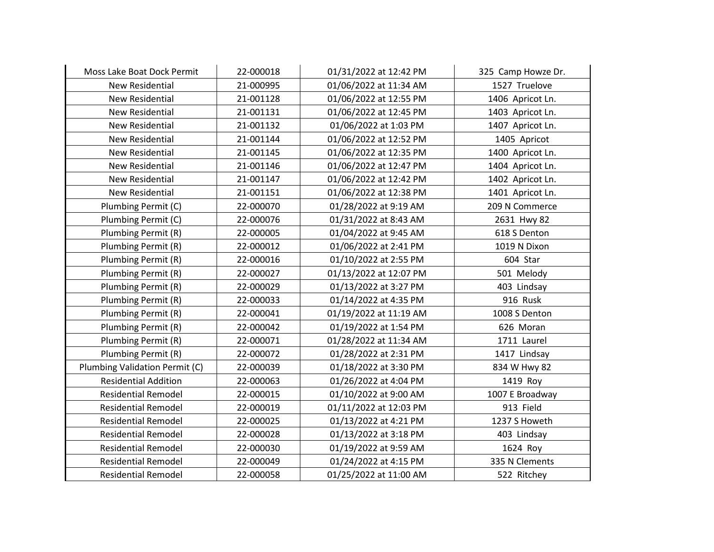| Moss Lake Boat Dock Permit     | 22-000018 | 01/31/2022 at 12:42 PM | 325 Camp Howze Dr. |
|--------------------------------|-----------|------------------------|--------------------|
| <b>New Residential</b>         | 21-000995 | 01/06/2022 at 11:34 AM | 1527 Truelove      |
| <b>New Residential</b>         | 21-001128 | 01/06/2022 at 12:55 PM | 1406 Apricot Ln.   |
| New Residential                | 21-001131 | 01/06/2022 at 12:45 PM | 1403 Apricot Ln.   |
| <b>New Residential</b>         | 21-001132 | 01/06/2022 at 1:03 PM  | 1407 Apricot Ln.   |
| New Residential                | 21-001144 | 01/06/2022 at 12:52 PM | 1405 Apricot       |
| New Residential                | 21-001145 | 01/06/2022 at 12:35 PM | 1400 Apricot Ln.   |
| <b>New Residential</b>         | 21-001146 | 01/06/2022 at 12:47 PM | 1404 Apricot Ln.   |
| New Residential                | 21-001147 | 01/06/2022 at 12:42 PM | 1402 Apricot Ln.   |
| New Residential                | 21-001151 | 01/06/2022 at 12:38 PM | 1401 Apricot Ln.   |
| Plumbing Permit (C)            | 22-000070 | 01/28/2022 at 9:19 AM  | 209 N Commerce     |
| Plumbing Permit (C)            | 22-000076 | 01/31/2022 at 8:43 AM  | 2631 Hwy 82        |
| Plumbing Permit (R)            | 22-000005 | 01/04/2022 at 9:45 AM  | 618 S Denton       |
| Plumbing Permit (R)            | 22-000012 | 01/06/2022 at 2:41 PM  | 1019 N Dixon       |
| Plumbing Permit (R)            | 22-000016 | 01/10/2022 at 2:55 PM  | 604 Star           |
| Plumbing Permit (R)            | 22-000027 | 01/13/2022 at 12:07 PM | 501 Melody         |
| Plumbing Permit (R)            | 22-000029 | 01/13/2022 at 3:27 PM  | 403 Lindsay        |
| Plumbing Permit (R)            | 22-000033 | 01/14/2022 at 4:35 PM  | 916 Rusk           |
| Plumbing Permit (R)            | 22-000041 | 01/19/2022 at 11:19 AM | 1008 S Denton      |
| Plumbing Permit (R)            | 22-000042 | 01/19/2022 at 1:54 PM  | 626 Moran          |
| Plumbing Permit (R)            | 22-000071 | 01/28/2022 at 11:34 AM | 1711 Laurel        |
| Plumbing Permit (R)            | 22-000072 | 01/28/2022 at 2:31 PM  | 1417 Lindsay       |
| Plumbing Validation Permit (C) | 22-000039 | 01/18/2022 at 3:30 PM  | 834 W Hwy 82       |
| <b>Residential Addition</b>    | 22-000063 | 01/26/2022 at 4:04 PM  | 1419 Roy           |
| <b>Residential Remodel</b>     | 22-000015 | 01/10/2022 at 9:00 AM  | 1007 E Broadway    |
| <b>Residential Remodel</b>     | 22-000019 | 01/11/2022 at 12:03 PM | 913 Field          |
| <b>Residential Remodel</b>     | 22-000025 | 01/13/2022 at 4:21 PM  | 1237 S Howeth      |
| <b>Residential Remodel</b>     | 22-000028 | 01/13/2022 at 3:18 PM  | 403 Lindsay        |
| <b>Residential Remodel</b>     | 22-000030 | 01/19/2022 at 9:59 AM  | 1624 Roy           |
| <b>Residential Remodel</b>     | 22-000049 | 01/24/2022 at 4:15 PM  | 335 N Clements     |
| <b>Residential Remodel</b>     | 22-000058 | 01/25/2022 at 11:00 AM | 522 Ritchey        |